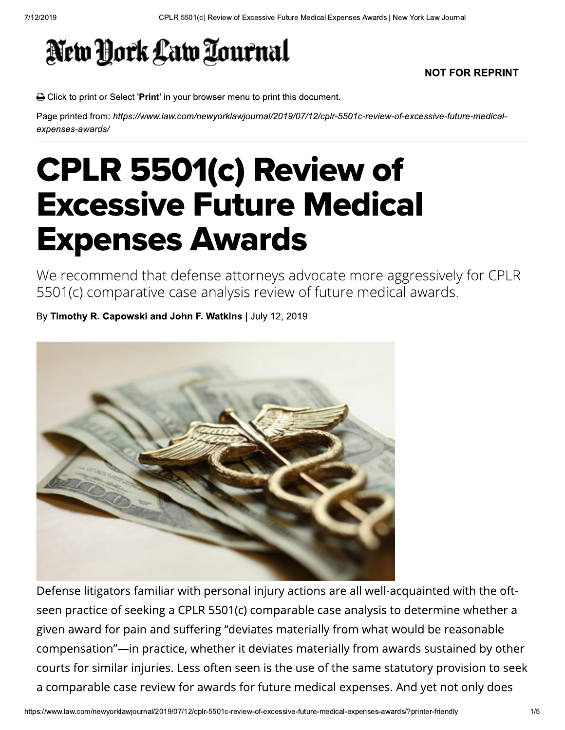## New York Law Tournal

## **NOT FOR REPRINT**

B Click to print or Select 'Print' in your browser menu to print this document.

Page printed from: https://www.law.com/newyorklawjournal/2019/07/12/cplr-5501c-review-of-excessive-future-medicalexpenses-awards/

## CPLR 5501(c) Review of **Excessive Future Medical Expenses Awards**

We recommend that defense attorneys advocate more aggressively for CPLR 5501(c) comparative case analysis review of future medical awards.

By Timothy R. Capowski and John F. Watkins | July 12, 2019



Defense litigators familiar with personal injury actions are all well-acquainted with the oftseen practice of seeking a CPLR 5501(c) comparable case analysis to determine whether a given award for pain and suffering "deviates materially from what would be reasonable compensation"—in practice, whether it deviates materially from awards sustained by other courts for similar injuries. Less often seen is the use of the same statutory provision to seek a comparable case review for awards for future medical expenses. And yet not only does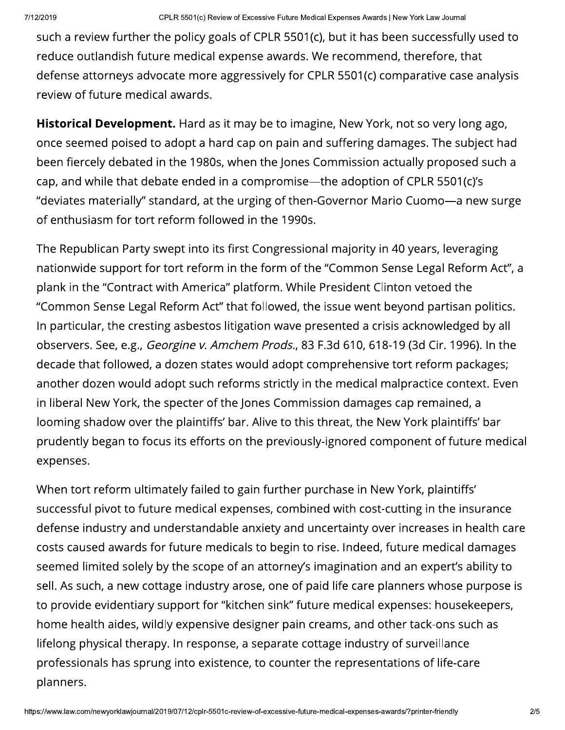eview of Excessive Future Medical Expenses Awards | New York Law Journal<br>!Oals of CPLR 5501(c), but it has been successfully use<br>| expense awards. We recommend, therefore, that<br>| expense awards. We recommend, therefore, th such a review further the policy goals of CPLR 5501(c), but it has been successfully used to reduce outlandish future medical expense awards. We recommend, therefore, that defense attorneys advocate more aggressively for CPLR 5501(c) comparative case analysis review of future medical awards.

Historical Development. Hard as it may be to imagine, New York, not so very long ago, once seemed poised to adopt a hard cap on pain and suffering damages. The subject had been fiercely debated in the 1980s, when the Jones Commission actually proposed such a cap, and while that debate ended in a compromise—the adoption of CPLR 5501(c)'s "deviates materially" standard, at the urging of then-Governor Mario Cuomo-a new surge of enthusiasm for tort reform followed in the 1990s.

The Republican Party swept into its first Congressional majority in 40 years, leveraging nationwide support for tort reform in the form of the "Common Sense Legal Reform Act", a plank in the "Contract with America" platform. While President Clinton vetoed the "Common Sense Legal Reform Act" that followed, the issue went beyond partisan politics. In particular, the cresting asbestos litigation wave presented a crisis acknowledged by all The Republican Party swept into its first Congressional majority in 40 years, leveraging<br>nationwide support for tort reform in the form of the "Common Sense Legal Reform Act", a<br>plank in the "Contract with America" platfor decade that followed, a dozen states would adopt comprehensive tort reform packages; another dozen would adopt such reforms strictly in the medical malpractice context. Even in liberal New York, the specter of the Jones Commission damages cap remained, a looming shadow over the plaintiffs' bar. Alive to this threat, the New York plaintiffs' bar prudently began to focus its efforts on the previously-ignored component of future medical expenses.

telong physical therapy. In r<br>rofessionals has sprung int<br>lanners.<br>//www.law.com/newyorklawjournal/2019/07/12 When tort reform ultimately failed to gain further purchase in New York, plaintiffs' successful pivot to future medical expenses, combined with cost-cutting in the insurance defense industry and understandable anxiety and uncertainty over increases in health care costs caused awards for future medicals to begin to rise. Indeed, future medical damages seemed limited solely by the scope of an attorney's imagination and an expert's ability to sell. As such, a new cottage industry arose, one of paid life care planners whose purpose is to provide evidentiary support for "kitchen sink" future medical expenses: housekeepers, home health aides, wildly expensive designer pain creams, and other tack-ons such as lifelong physical therapy. In response, a separate cottage industry of surveillance professionals has sprung into existence, to counter the representations of life-care planners.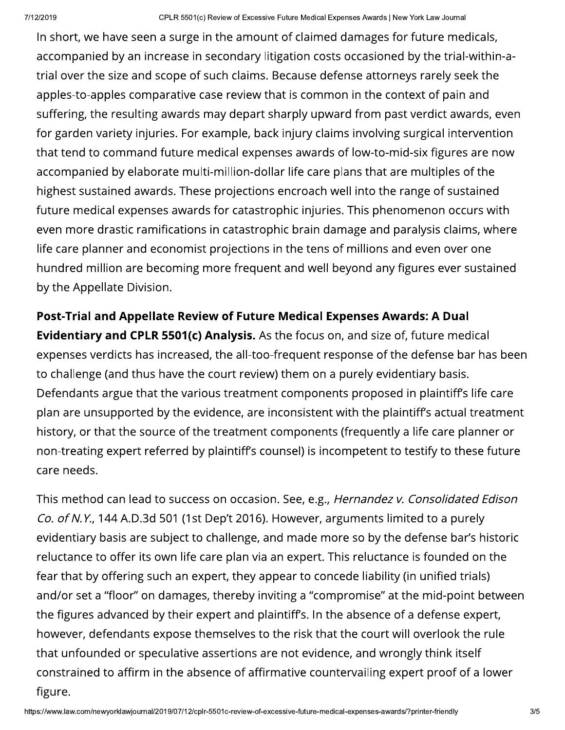eview of Excessive Future Medical Expenses Awards | New York Law Journal<br>
the amount of claimed damages for future medicals<br>
econdary litigation costs occasioned by the trial-withi<br>
uch claims. Because defense attorneys ra In short, we have seen a surge in the amount of claimed damages for future medicals, accompanied by an increase in secondary litigation costs occasioned by the trial-within-atrial over the size and scope of such claims. Because defense attorneys rarely seek the apples-to-apples comparative case review that is common in the context of pain and suffering, the resulting awards may depart sharply upward from past verdict awards, even for garden variety injuries. For example, back injury claims involving surgical intervention that tend to command future medical expenses awards of low-to-mid-six figures are now accompanied by elaborate multi-million-dollar life care plans that are multiples of the highest sustained awards. These projections encroach well into the range of sustained future medical expenses awards for catastrophic injuries. This phenomenon occurs with even more drastic ramifications in catastrophic brain damage and paralysis claims, where life care planner and economist projections in the tens of millions and even over one hundred million are becoming more frequent and well beyond any figures ever sustained by the Appellate Division.

Post-Trial and Appellate Review of Future Medical Expenses Awards: A Dual Evidentiary and CPLR 5501(c) Analysis. As the focus on, and size of, future medical expenses verdicts has increased, the all-too-frequent response of the defense bar has been to challenge (and thus have the court review) them on a purely evidentiary basis. Defendants argue that the various treatment components proposed in plaintiff's life care plan are unsupported by the evidence, are inconsistent with the plaintiff's actual treatment history, or that the source of the treatment components (frequently a life care planner or non-treating expert referred by plaintiff's counsel) is incompetent to testify to these future care needs.

nat unfounded or speculativ<br>onstrained to affirm in the a<br>gure.<br>//www.law.com/newyorklawjournal/2019/07/12 Defendants argue that the various treatment components proposed in plaintiff's life care<br>plan are unsupported by the evidence, are inconsistent with the plaintiff's actual treatment<br>history, or that the source of the treat plan are unsupported by the evidence, are inconsistent with the plaintiff's actual trea<br>history, or that the source of the treatment components (frequently a life care planne<br>non-treating expert referred by plaintiff's co evidentiary basis are subject to challenge, and made more so by the defense bar's historic reluctance to offer its own life care plan via an expert. This reluctance is founded on the fear that by offering such an expert, they appear to concede liability (in unified trials) and/or set a "floor" on damages, thereby inviting a "compromise" at the mid-point between the figures advanced by their expert and plaintiff's. In the absence of a defense expert, however, defendants expose themselves to the risk that the court will overlook the rule that unfounded or speculative assertions are not evidence, and wrongly think itself constrained to affirm in the absence of affirmative countervailing expert proof of a lower figure.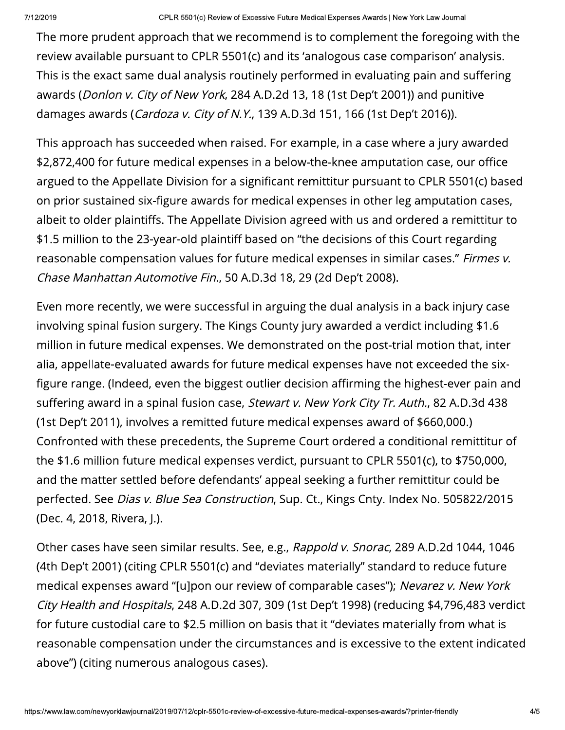The more prudent approach that we recommend is to complement the foregoing with the review available pursuant to CPLR 5501(c) and its 'analogous case comparison' analysis. This is the exact same dual analysis routinely performed in evaluating pain and suffering awards (Donlon v. City of New York, 284 A.D.2d 13, 18 (1st Dep't 2001)) and punitive damages awards (Cardoza v. City of N.Y., 139 A.D.3d 151, 166 (1st Dep't 2016)).

This approach has succeeded when raised. For example, in a case where a jury awarded \$2,872,400 for future medical expenses in a below-the-knee amputation case, our office argued to the Appellate Division for a significant remittitur pursuant to CPLR 5501(c) based on prior sustained six-figure awards for medical expenses in other leg amputation cases, albeit to older plaintiffs. The Appellate Division agreed with us and ordered a remittitur to \$1.5 million to the 23-year-old plaintiff based on "the decisions of this Court regarding reasonable compensation values for future medical expenses in similar cases." Firmes v. Chase Manhattan Automotive Fin., 50 A.D.3d 18, 29 (2d Dep't 2008).

Even more recently, we were successful in arguing the dual analysis in a back injury case involving spinal fusion surgery. The Kings County jury awarded a verdict including \$1.6 million in future medical expenses. We demonstrated on the post-trial motion that, inter alia, appellate-evaluated awards for future medical expenses have not exceeded the sixfigure range. (Indeed, even the biggest outlier decision affirming the highest-ever pain and suffering award in a spinal fusion case, Stewart v. New York City Tr. Auth., 82 A.D.3d 438 (1st Dep't 2011), involves a remitted future medical expenses award of \$660,000.) Confronted with these precedents, the Supreme Court ordered a conditional remittitur of the \$1.6 million future medical expenses verdict, pursuant to CPLR 5501(c), to \$750,000, and the matter settled before defendants' appeal seeking a further remittitur could be perfected. See Dias v. Blue Sea Construction, Sup. Ct., Kings Cnty. Index No. 505822/2015 (Dec. 4, 2018, Rivera, J.).

Other cases have seen similar results. See, e.g., Rappold v. Snorac, 289 A.D.2d 1044, 1046 (4th Dep't 2001) (citing CPLR 5501(c) and "deviates materially" standard to reduce future medical expenses award "[u]pon our review of comparable cases"); Nevarez v. New York City Health and Hospitals, 248 A.D.2d 307, 309 (1st Dep't 1998) (reducing \$4,796,483 verdict for future custodial care to \$2.5 million on basis that it "deviates materially from what is reasonable compensation under the circumstances and is excessive to the extent indicated above") (citing numerous analogous cases).